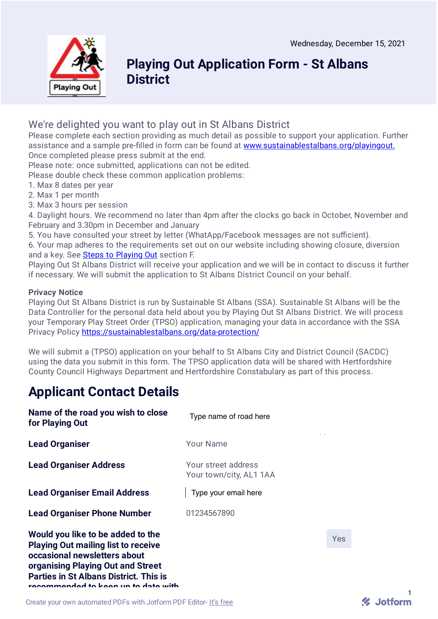

### **Playing Out Application Form - St Albans District**

### We're delighted you want to play out in St Albans District

Please complete each section providing as much detail as possible to support your application. Further assistance and a sample pre-filled in form can be found at [www.sustainablestalbans.org/playingout.](https://sustainablestalbans.org/playingout) Once completed please press submit at the end.

Please note: once submitted, applications can not be edited.

Please double check these common application problems:

- 1. Max 8 dates per year
- 2. Max 1 per month
- 3. Max 3 hours per session

4. Daylight hours. We recommend no later than 4pm after the clocks go back in October, November and February and 3.30pm in December and January

5. You have consulted your street by letter (WhatApp/Facebook messages are not sufficient).

6. Your map adheres to the requirements set out on our website including showing closure, diversion and a key. See Steps to [Playing](https://sustainablestalbans.org/playingout-howto) Out section F.

Playing Out St Albans District will receive your application and we will be in contact to discuss it further if necessary. We will submit the application to St Albans District Council on your behalf.

### **Privacy Notice**

Playing Out St Albans District is run by Sustainable St Albans (SSA). Sustainable St Albans will be the Data Controller for the personal data held about you by Playing Out St Albans District. We will process your Temporary Play Street Order (TPSO) application, managing your data in accordance with the SSA Privacy Policy <https://sustainablestalbans.org/data-protection/>

We will submit a (TPSO) application on your behalf to St Albans City and District Council (SACDC) using the data you submit in this form. The TPSO application data will be shared with Hertfordshire County Council Highways Department and Hertfordshire Constabulary as part of this process.

# **Applicant Contact Details**

| Name of the road you wish to close<br>for Playing Out                                                                                                                                                                                        | Type name of road here                         |
|----------------------------------------------------------------------------------------------------------------------------------------------------------------------------------------------------------------------------------------------|------------------------------------------------|
| <b>Lead Organiser</b>                                                                                                                                                                                                                        | <b>Your Name</b>                               |
| <b>Lead Organiser Address</b>                                                                                                                                                                                                                | Your street address<br>Your town/city, AL1 1AA |
| <b>Lead Organiser Email Address</b>                                                                                                                                                                                                          | Type your email here                           |
| <b>Lead Organiser Phone Number</b>                                                                                                                                                                                                           | 01234567890                                    |
| Would you like to be added to the<br><b>Playing Out mailing list to receive</b><br>occasional newsletters about<br>organising Playing Out and Street<br><b>Parties in St Albans District. This is</b><br>recommended to keep up to date with |                                                |

Yes

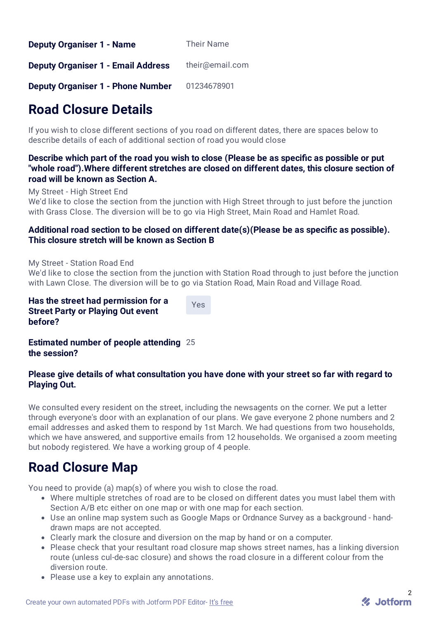| <b>Deputy Organiser 1 - Name</b> | Their Name |
|----------------------------------|------------|
|----------------------------------|------------|

**Deputy Organiser 1 - Email Address** their@email.com

**Deputy Organiser 1 - Phone Number** 01234678901

# **Road Closure Details**

If you wish to close different sections of you road on different dates, there are spaces below to describe details of each of additional section of road you would close

**Describe which part of the road you wish to close (Please be as specic as possible or put "whole road").Where different stretches are closed on different dates, this closure section of road will be known as Section A.**

My Street - High Street End

We'd like to close the section from the junction with High Street through to just before the junction with Grass Close. The diversion will be to go via High Street, Main Road and Hamlet Road.

### **Additional road section to be closed on different date(s)(Please be as specic as possible). This closure stretch will be known as Section B**

My Street - Station Road End

We'd like to close the section from the junction with Station Road through to just before the junction with Lawn Close. The diversion will be to go via Station Road, Main Road and Village Road.

**Has the street had permission for a Street Party or Playing Out event before?**

Yes

**Estimated number of people attending** 25 **the session?**

### **Please give details of what consultation you have done with your street so far with regard to Playing Out.**

We consulted every resident on the street, including the newsagents on the corner. We put a letter through everyone's door with an explanation of our plans. We gave everyone 2 phone numbers and 2 email addresses and asked them to respond by 1st March. We had questions from two households, which we have answered, and supportive emails from 12 households. We organised a zoom meeting but nobody registered. We have a working group of 4 people.

## **Road Closure Map**

You need to provide (a) map(s) of where you wish to close the road.

- Where multiple stretches of road are to be closed on different dates you must label them with Section A/B etc either on one map or with one map for each section.
- Use an online map system such as Google Maps or Ordnance Survey as a background handdrawn maps are not accepted.
- Clearly mark the closure and diversion on the map by hand or on a computer.
- Please check that your resultant road closure map shows street names, has a linking diversion route (unless cul-de-sac closure) and shows the road closure in a different colour from the diversion route.
- Please use a key to explain any annotations.

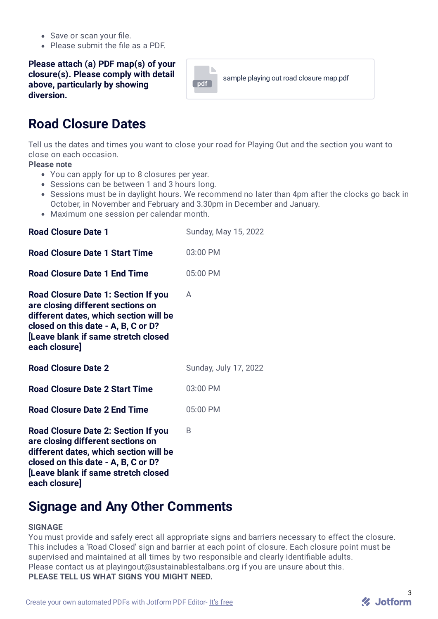- Save or scan your file.
- $\bullet$  Please submit the file as a PDF.

#### **Please attach (a) PDF map(s) of your closure(s). Please comply with detail above, particularly by showing diversion.**



## **Road Closure Dates**

Tell us the dates and times you want to close your road for Playing Out and the section you want to close on each occasion.

**Please note**

- You can apply for up to 8 closures per year.
- Sessions can be between 1 and 3 hours long.
- Sessions must be in daylight hours. We recommend no later than 4pm after the clocks go back in October, in November and February and 3.30pm in December and January.
- Maximum one session per calendar month.

| <b>Road Closure Date 1</b>                                                                                                                                                                                              | Sunday, May 15, 2022  |
|-------------------------------------------------------------------------------------------------------------------------------------------------------------------------------------------------------------------------|-----------------------|
| <b>Road Closure Date 1 Start Time</b>                                                                                                                                                                                   | 03:00 PM              |
| <b>Road Closure Date 1 End Time</b>                                                                                                                                                                                     | 05:00 PM              |
| <b>Road Closure Date 1: Section If you</b><br>are closing different sections on<br>different dates, which section will be<br>closed on this date - A, B, C or D?<br>Leave blank if same stretch closed<br>each closure] | A                     |
| <b>Road Closure Date 2</b>                                                                                                                                                                                              | Sunday, July 17, 2022 |
| <b>Road Closure Date 2 Start Time</b>                                                                                                                                                                                   | 03:00 PM              |
| <b>Road Closure Date 2 End Time</b>                                                                                                                                                                                     | 05:00 PM              |
| <b>Road Closure Date 2: Section If you</b><br>are closing different sections on<br>different dates, which section will be<br>closed on this date - A, B, C or D?<br>п.<br>. <i>.</i> .<br>والمستطاع والمتفاوي والمراد   | B                     |

**[Leave blank if same stretch closed each closure]**

## **Signage and Any Other Comments**

#### **SIGNAGE**

You must provide and safely erect all appropriate signs and barriers necessary to effect the closure. This includes a 'Road Closed' sign and barrier at each point of closure. Each closure point must be supervised and maintained at all times by two responsible and clearly identifiable adults. Please contact us at playingout@sustainablestalbans.org if you are unsure about this. **PLEASE TELL US WHAT SIGNS YOU MIGHT NEED.**

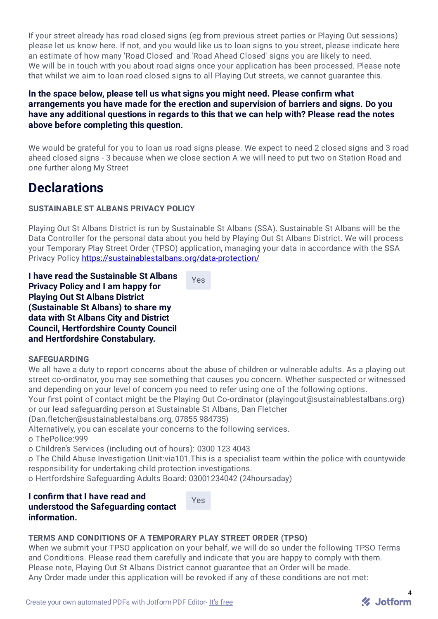If your street already has road closed signs (eg from previous street parties or Playing Out sessions) please let us know here. If not, and you would like us to loan signs to you street, please indicate here an estimate of how many 'Road Closed' and 'Road Ahead Closed' signs you are likely to need. We will be in touch with you about road signs once your application has been processed. Please note that whilst we aim to loan road closed signs to all Playing Out streets, we cannot guarantee this.

### **In the space below, please tell us what signs you might need. Please conrm what arrangements you have made for the erection and supervision of barriers and signs. Do you have any additional questions in regards to this that we can help with? Please read the notes above before completing this question.**

We would be grateful for you to loan us road signs please. We expect to need 2 closed signs and 3 road ahead closed signs - 3 because when we close section A we will need to put two on Station Road and one further along My Street

### **Declarations**

### **SUSTAINABLE ST ALBANS PRIVACY POLICY**

Playing Out St Albans District is run by Sustainable St Albans (SSA). Sustainable St Albans will be the Data Controller for the personal data about you held by Playing Out St Albans District. We will process your Temporary Play Street Order (TPSO) application, managing your data in accordance with the SSA Privacy Policy <https://sustainablestalbans.org/data-protection/>

**I have read the Sustainable St Albans Privacy Policy and I am happy for Playing Out St Albans District (Sustainable St Albans) to share my data with St Albans City and District Council, Hertfordshire County Council and Hertfordshire Constabulary.**

Yes

#### **SAFEGUARDING**

We all have a duty to report concerns about the abuse of children or vulnerable adults. As a playing out street co-ordinator, you may see something that causes you concern. Whether suspected or witnessed and depending on your level of concern you need to refer using one of the following options.

Your first point of contact might be the Playing Out Co-ordinator (playingout@sustainablestalbans.org) or our lead safeguarding person at Sustainable St Albans, Dan Fletcher

(Dan.fletcher@sustainablestalbans.org, 07855 984735)

Alternatively, you can escalate your concerns to the following services.

o ThePolice:999

o Children's Services (including out of hours): 0300 123 4043

o The Child Abuse Investigation Unit:via101.This is a specialist team within the police with countywide responsibility for undertaking child protection investigations.

o Hertfordshire Safeguarding Adults Board: 03001234042 (24hoursaday)

### **I conrm that I have read and understood the Safeguarding contact information.**

Yes

### **TERMS AND CONDITIONS OF A TEMPORARY PLAY STREET ORDER (TPSO)**

When we submit your TPSO application on your behalf, we will do so under the following TPSO Terms and Conditions. Please read them carefully and indicate that you are happy to comply with them. Please note, Playing Out St Albans District cannot guarantee that an Order will be made. Any Order made under this application will be revoked if any of these conditions are not met: